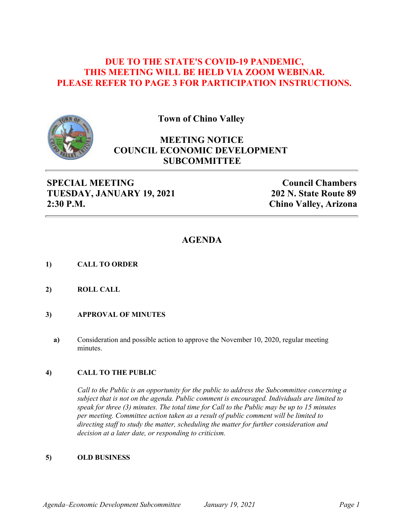### **DUE TO THE STATE'S COVID-19 PANDEMIC, THIS MEETING WILL BE HELD VIA ZOOM WEBINAR. PLEASE REFER TO PAGE 3 FOR PARTICIPATION INSTRUCTIONS.**



**Town of Chino Valley**

## **MEETING NOTICE COUNCIL ECONOMIC DEVELOPMENT SUBCOMMITTEE**

### **SPECIAL MEETING TUESDAY, JANUARY 19, 2021 2:30 P.M.**

**Council Chambers 202 N. State Route 89 Chino Valley, Arizona**

### **AGENDA**

- **1) CALL TO ORDER**
- **2) ROLL CALL**
- **3) APPROVAL OF MINUTES**
	- **a)** Consideration and possible action to approve the November 10, 2020, regular meeting minutes.

#### **4) CALL TO THE PUBLIC**

*Call to the Public is an opportunity for the public to address the Subcommittee concerning a subject that is not on the agenda. Public comment is encouraged. Individuals are limited to speak for three (3) minutes. The total time for Call to the Public may be up to 15 minutes per meeting. Committee action taken as a result of public comment will be limited to directing staff to study the matter, scheduling the matter for further consideration and decision at a later date, or responding to criticism.*

#### **5) OLD BUSINESS**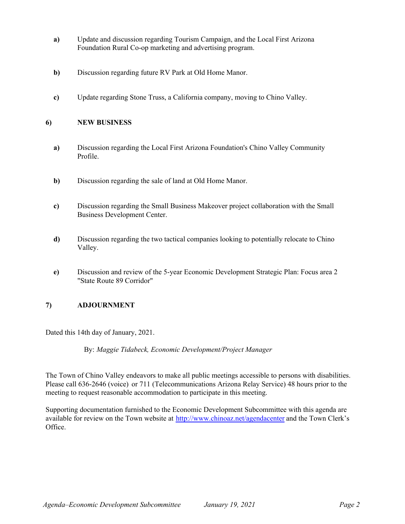- **a)** Update and discussion regarding Tourism Campaign, and the Local First Arizona Foundation Rural Co-op marketing and advertising program.
- **b)** Discussion regarding future RV Park at Old Home Manor.
- **c)** Update regarding Stone Truss, a California company, moving to Chino Valley.

#### **6) NEW BUSINESS**

- **a)** Discussion regarding the Local First Arizona Foundation's Chino Valley Community Profile.
- **b)** Discussion regarding the sale of land at Old Home Manor.
- **c)** Discussion regarding the Small Business Makeover project collaboration with the Small Business Development Center.
- **d)** Discussion regarding the two tactical companies looking to potentially relocate to Chino Valley.
- **e)** Discussion and review of the 5-year Economic Development Strategic Plan: Focus area 2 "State Route 89 Corridor"

### **7) ADJOURNMENT**

Dated this 14th day of January, 2021.

By: *Maggie Tidabeck, Economic Development/Project Manager*

The Town of Chino Valley endeavors to make all public meetings accessible to persons with disabilities. Please call 636-2646 (voice) or 711 (Telecommunications Arizona Relay Service) 48 hours prior to the meeting to request reasonable accommodation to participate in this meeting.

Supporting documentation furnished to the Economic Development Subcommittee with this agenda are available for review on the Town website at [http://www.chinoaz.net/agendacenter](http://www.chinoaz.net/clerk/town agenda.shtml) and the Town Clerk's Office.